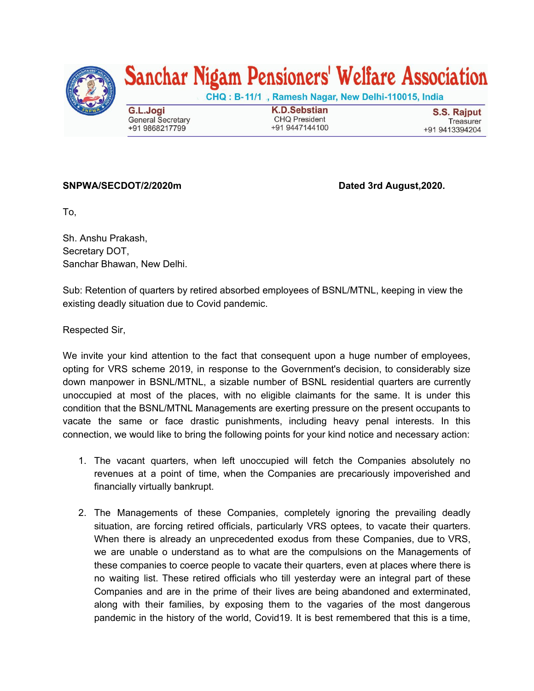

## Sanchar Nigam Pensioners' Welfare Association

CHQ: B-11/1, Ramesh Nagar, New Delhi-110015, India

G.L.Jogi **General Secretary** +91 9868217799

**K.D.Sebstian CHQ President** +91 9447144100

**S.S. Rajput** Treasurer +91 9413394204

## **SNPWA/SECDOT/2/2020m Dated 3rd August,2020.**

To,

Sh. Anshu Prakash, Secretary DOT, Sanchar Bhawan, New Delhi.

Sub: Retention of quarters by retired absorbed employees of BSNL/MTNL, keeping in view the existing deadly situation due to Covid pandemic.

Respected Sir,

We invite your kind attention to the fact that consequent upon a huge number of employees, opting for VRS scheme 2019, in response to the Government's decision, to considerably size down manpower in BSNL/MTNL, a sizable number of BSNL residential quarters are currently unoccupied at most of the places, with no eligible claimants for the same. It is under this condition that the BSNL/MTNL Managements are exerting pressure on the present occupants to vacate the same or face drastic punishments, including heavy penal interests. In this connection, we would like to bring the following points for your kind notice and necessary action:

- 1. The vacant quarters, when left unoccupied will fetch the Companies absolutely no revenues at a point of time, when the Companies are precariously impoverished and financially virtually bankrupt.
- 2. The Managements of these Companies, completely ignoring the prevailing deadly situation, are forcing retired officials, particularly VRS optees, to vacate their quarters. When there is already an unprecedented exodus from these Companies, due to VRS, we are unable o understand as to what are the compulsions on the Managements of these companies to coerce people to vacate their quarters, even at places where there is no waiting list. These retired officials who till yesterday were an integral part of these Companies and are in the prime of their lives are being abandoned and exterminated, along with their families, by exposing them to the vagaries of the most dangerous pandemic in the history of the world, Covid19. It is best remembered that this is a time,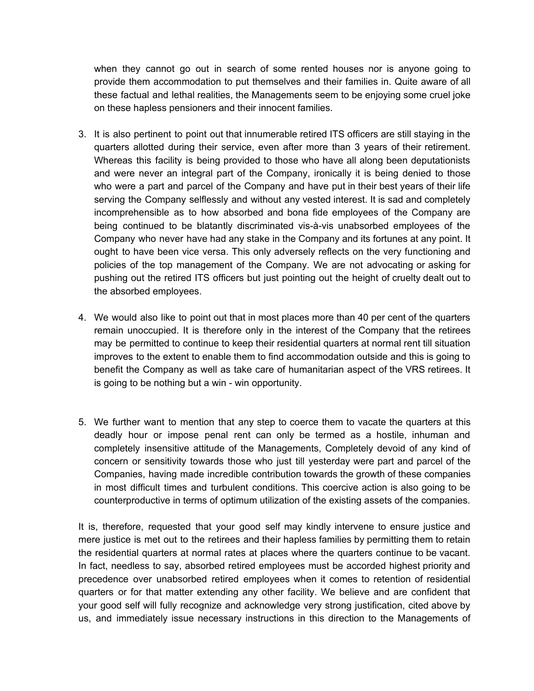when they cannot go out in search of some rented houses nor is anyone going to provide them accommodation to put themselves and their families in. Quite aware of all these factual and lethal realities, the Managements seem to be enjoying some cruel joke on these hapless pensioners and their innocent families.

- 3. It is also pertinent to point out that innumerable retired ITS officers are still staying in the quarters allotted during their service, even after more than 3 years of their retirement. Whereas this facility is being provided to those who have all along been deputationists and were never an integral part of the Company, ironically it is being denied to those who were a part and parcel of the Company and have put in their best years of their life serving the Company selflessly and without any vested interest. It is sad and completely incomprehensible as to how absorbed and bona fide employees of the Company are being continued to be blatantly discriminated vis-à-vis unabsorbed employees of the Company who never have had any stake in the Company and its fortunes at any point. It ought to have been vice versa. This only adversely reflects on the very functioning and policies of the top management of the Company. We are not advocating or asking for pushing out the retired ITS officers but just pointing out the height of cruelty dealt out to the absorbed employees.
- 4. We would also like to point out that in most places more than 40 per cent of the quarters remain unoccupied. It is therefore only in the interest of the Company that the retirees may be permitted to continue to keep their residential quarters at normal rent till situation improves to the extent to enable them to find accommodation outside and this is going to benefit the Company as well as take care of humanitarian aspect of the VRS retirees. It is going to be nothing but a win - win opportunity.
- 5. We further want to mention that any step to coerce them to vacate the quarters at this deadly hour or impose penal rent can only be termed as a hostile, inhuman and completely insensitive attitude of the Managements, Completely devoid of any kind of concern or sensitivity towards those who just till yesterday were part and parcel of the Companies, having made incredible contribution towards the growth of these companies in most difficult times and turbulent conditions. This coercive action is also going to be counterproductive in terms of optimum utilization of the existing assets of the companies.

It is, therefore, requested that your good self may kindly intervene to ensure justice and mere justice is met out to the retirees and their hapless families by permitting them to retain the residential quarters at normal rates at places where the quarters continue to be vacant. In fact, needless to say, absorbed retired employees must be accorded highest priority and precedence over unabsorbed retired employees when it comes to retention of residential quarters or for that matter extending any other facility. We believe and are confident that your good self will fully recognize and acknowledge very strong justification, cited above by us, and immediately issue necessary instructions in this direction to the Managements of